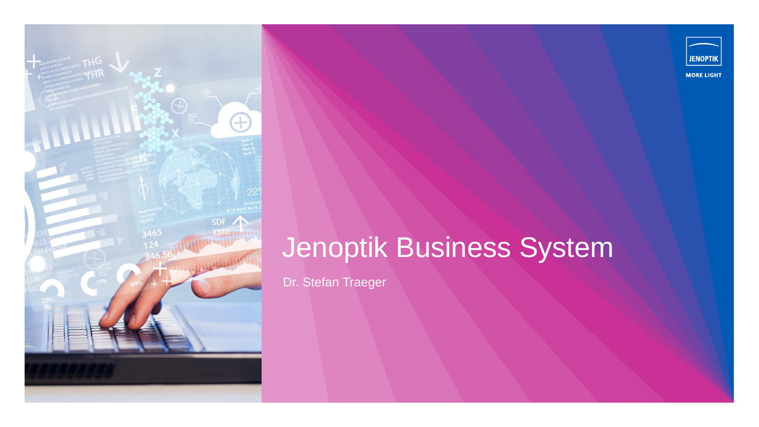



## Jenoptik Business System

Dr. Stefan Traeger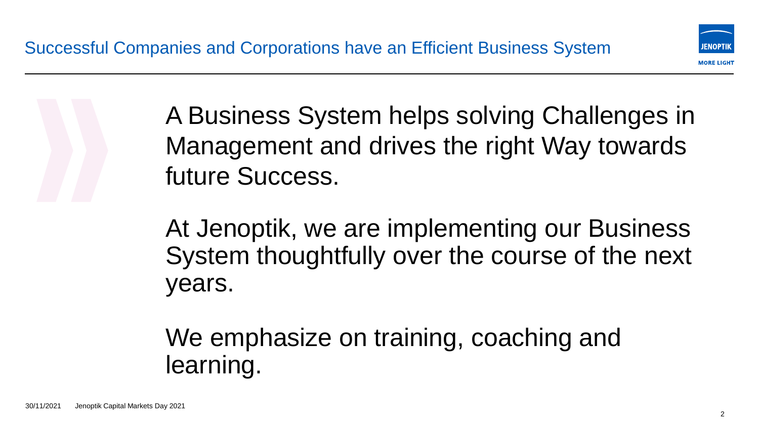

A Business System helps solving Challenges in Management and drives the right Way towards future Success.

At Jenoptik, we are implementing our Business System thoughtfully over the course of the next years.

We emphasize on training, coaching and learning.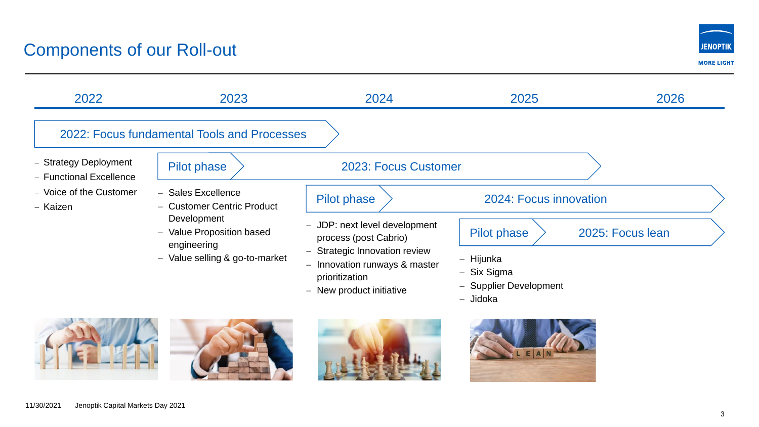## Components of our Roll-out

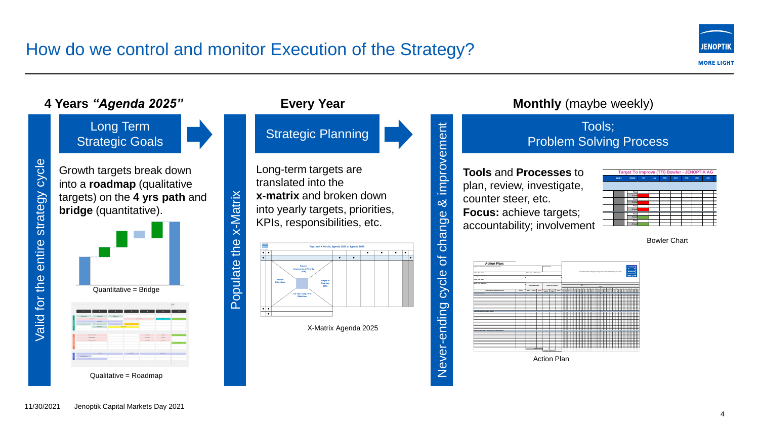## How do we control and monitor Execution of the Strategy?